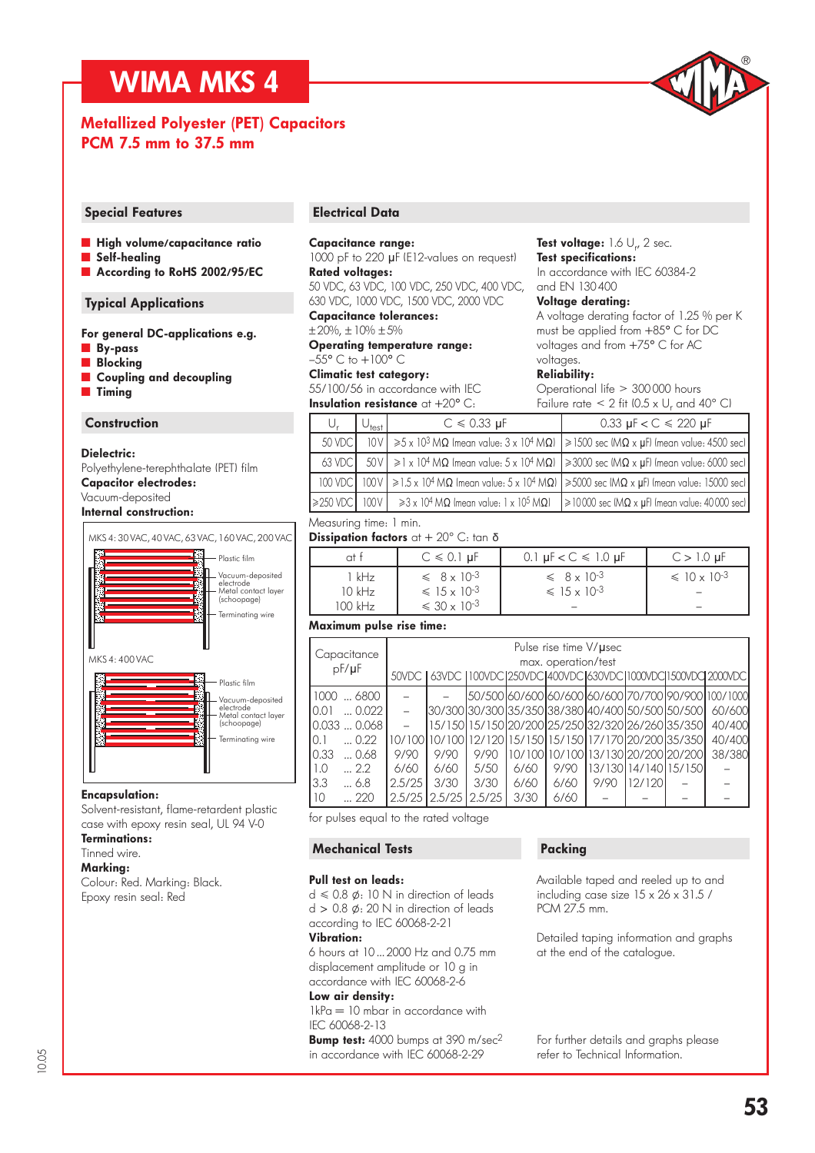### WIMA MKS 4

### Metallized Polyester (PET) Capacitors PCM 7.5 mm to 37.5 mm

### Special Features **Electrical Data**

- **High volume/capacitance ratio**
- Self-healing
- According to RoHS 2002/95/EC

### Typical Applications

|                | For general DC-applications e.g. |  |
|----------------|----------------------------------|--|
| <b>By-pass</b> |                                  |  |

- **Blocking**
- Coupling and decoupling
- **Timing**

### **Construction**

### Dielectric:

Polyethylene-terephthalate (PET) film Capacitor electrodes: Vacuum-deposited

### Internal construction:



### Encapsulation:

Solvent-resistant, flame-retardent plastic case with epoxy resin seal, UL 94 V-0

Terminations:

### Tinned wire. Marking:

Colour: Red. Marking: Black. Epoxy resin seal: Red

### Capacitance range:

1000 pF to 220 µF (E12-values on request) Rated voltages:

50 VDC, 63 VDC, 100 VDC, 250 VDC, 400 VDC, 630 VDC, 1000 VDC, 1500 VDC, 2000 VDC Capacitance tolerances:

 $± 20%$ ,  $± 10% ± 5%$ 

Operating temperature range:  $-55^{\circ}$  C to  $+100^{\circ}$  C

#### Climatic test category: 55/100/56 in accordance with IEC

**Insulation resistance** at  $+20^{\circ}$  C:

### **Test voltage:** 1.6  $\cup_{r}$  2 sec. Test specifications:

In accordance with IEC 60384-2 and EN 130 400

### Voltage derating:

A voltage derating factor of 1.25 % per K must be applied from +85° C for DC voltages and from +75° C for AC voltages.

### Reliability:

Operational life > 300 000 hours Failure rate  $\leq 2$  fit (0.5 x U<sub>r</sub> and 40° C)

|                | $\cup_{\mathsf{test}}$ | $C \le 0.33 \mu F$                                                 | 0.33 $\mu$ F < C $\leq$ 220 $\mu$ F                                                                                                                               |
|----------------|------------------------|--------------------------------------------------------------------|-------------------------------------------------------------------------------------------------------------------------------------------------------------------|
| 50 VDC         |                        |                                                                    | $10V$ $\ge$ 5 x 10 <sup>3</sup> M $\Omega$ (mean value: 3 x 10 <sup>4</sup> M $\Omega$ ) $\ge$ 1500 sec (M $\Omega$ x µF) (mean value: 4500 sec)                  |
| $63$ VDC.      |                        |                                                                    | $50V$ $\geq$ 1 x 10 <sup>4</sup> M $\Omega$ (mean value: 5 x 10 <sup>4</sup> M $\Omega$ ) $\geq$ 3000 sec (M $\Omega$ x µF) (mean value: 6000 sec)                |
|                |                        |                                                                    | 100 VDC 100 V $\geq 1.5 \times 10^{4}$ M $\Omega$ (mean value: 5 x 10 <sup>4</sup> M $\Omega$ ) $\geq 5000$ sec (M $\Omega \times \mu$ F) (mean value: 15000 sec) |
| $\geq$ 250 VDC | 100V                   | $\geq$ 3 x 10 <sup>4</sup> MΩ (mean value: 1 x 10 <sup>5</sup> MΩ) | $\geq 10000$ sec (M $\Omega \times \mu$ F) (mean value: 40000 sec)                                                                                                |

### Measuring time: 1 min.

Dissipation factors at  $+20^{\circ}$  C: tan  $\delta$ 

|                                | $C \le 0.1$ µF                                                                  | 0.1 $\mu$ F < C $\leq$ 1.0 $\mu$ F                  | $C > 1.0 \mu F$          |
|--------------------------------|---------------------------------------------------------------------------------|-----------------------------------------------------|--------------------------|
| 1 kHz<br>$10$ kHz<br>$100$ kHz | $\leq 8 \times 10^{-3}$<br>$\leq 15 \times 10^{-3}$<br>$\leq 30 \times 10^{-3}$ | $\leq 8 \times 10^{-3}$<br>$\leq 15 \times 10^{-3}$ | $\leq 10 \times 10^{-3}$ |

### Maximum pulse rise time:

| Capacitance<br>$pF/\mu F$                                                                                                     |              | Pulse rise time V/µsec<br>max. operation/test<br>50VDC   63VDC   100VDC  250VDC  400VDC  630VDC  1000VDC  1500VDC  2000VDC      |              |              |              |                                                                                                                   |        |  |                                                                                          |  |  |  |  |
|-------------------------------------------------------------------------------------------------------------------------------|--------------|---------------------------------------------------------------------------------------------------------------------------------|--------------|--------------|--------------|-------------------------------------------------------------------------------------------------------------------|--------|--|------------------------------------------------------------------------------------------|--|--|--|--|
| 1000  6800<br>$\ldots$ 0.022<br>10.01<br>10.033  0.068<br>$\dots 0.22$<br>10.1<br>0.33<br>$\dots$ 0.68<br>1.0<br>$\ldots$ 2.2 | 9/90<br>6/60 | l30/300l30/300l35/350l38/380l40/400l50/500l50/500l<br> 10/100 10/100 12/120 15/150 15/150 17/170 20/200 35/350 <br>9/90<br>6/60 | 9/90<br>5/50 | 6/60         | 9/90         | 15/150115/150120/200125/250132/320126/260135/3501<br>10/100110/100113/130120/200120/2001<br>13/130114/140115/1501 |        |  | 50/50060/60060/60/60060/60070/70090/9000100/1000<br>60/600<br>40/400<br>40/400<br>38/380 |  |  |  |  |
| 3.3<br>$\dots 6.8$<br>10 <sup>°</sup><br>$\ldots$ 220                                                                         | 2.5/25       | 3/30<br>2.5/25 2.5/25 2.5/25                                                                                                    | 3/30         | 6/60<br>3/30 | 6/60<br>6/60 | 9/90                                                                                                              | 12/120 |  |                                                                                          |  |  |  |  |

for pulses equal to the rated voltage

### Mechanical Tests

### Pull test on leads:

 $d \le 0.8 \n\phi$ : 10 N in direction of leads  $d > 0.8$   $\phi$ : 20 N in direction of leads according to IEC 60068-2-21

Vibration:

6 hours at 10 ... 2000 Hz and 0.75 mm displacement amplitude or 10 g in accordance with IEC 60068-2-6 Low air density:

1kPa = 10 mbar in accordance with IEC 60068-2-13

Bump test: 4000 bumps at 390 m/sec<sup>2</sup> in accordance with IEC 60068-2-29

### Packing

Available taped and reeled up to and including case size 15 x 26 x 31.5 / PCM 27.5 mm.

Detailed taping information and graphs at the end of the catalogue.

For further details and graphs please refer to Technical Information.

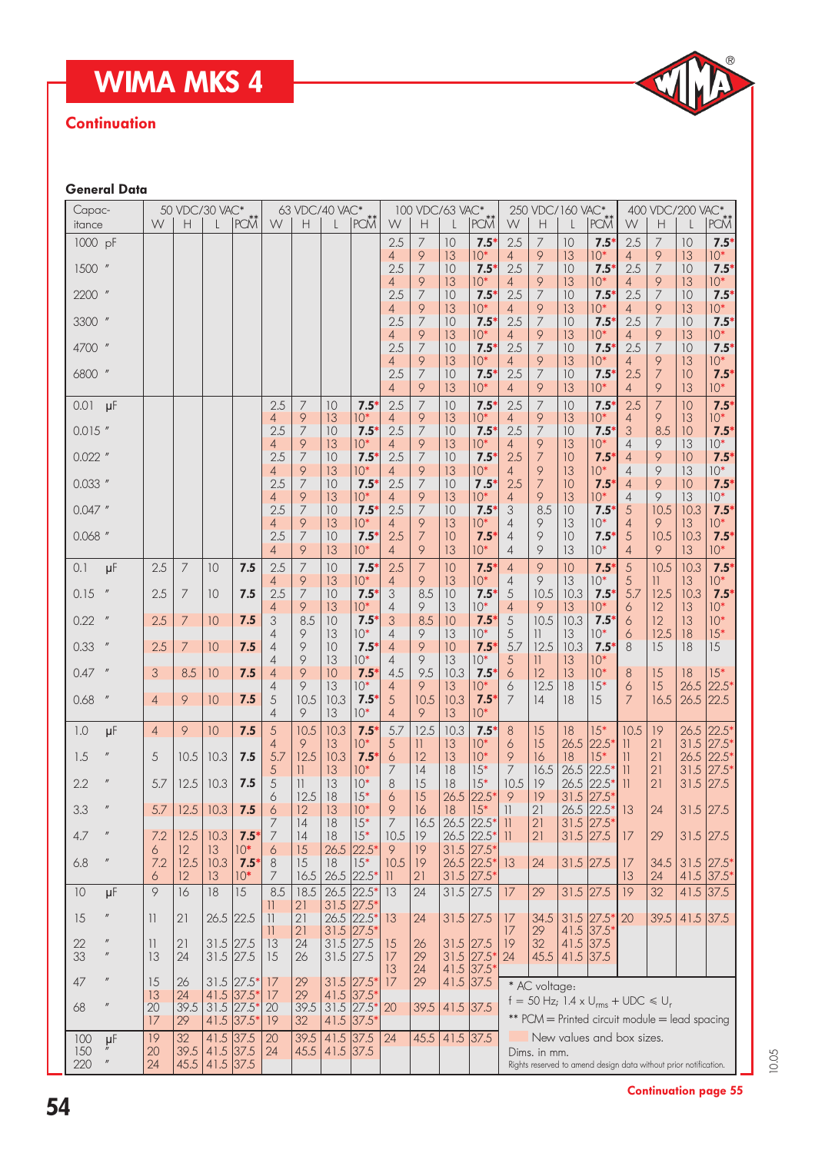## WIMA MKS 4

# D

### **Continuation**

### General Data

| Capac-    |                            |                 |                | 50 VDC/30 VAC*  |                              |                               | 63 VDC/40 VAC*          |                                        |                    |                       | 100 VDC/63 VAC*      |                |                                        |                          | 250 VDC/160 VAC*    |                |                                                                  |                       | 400 VDC/200 VAC*    |              |                   |
|-----------|----------------------------|-----------------|----------------|-----------------|------------------------------|-------------------------------|-------------------------|----------------------------------------|--------------------|-----------------------|----------------------|----------------|----------------------------------------|--------------------------|---------------------|----------------|------------------------------------------------------------------|-----------------------|---------------------|--------------|-------------------|
| itance    |                            | W               | Н              |                 | <b>PCM</b>                   | W.                            | Н                       |                                        | PCM <sup>**</sup>  | W                     | Н                    |                | PCM                                    | W                        | Н                   | L              | PCM <sup>**</sup>                                                | W                     | Н                   |              | PCM <sup>**</sup> |
| 1000 pF   |                            |                 |                |                 |                              |                               |                         |                                        |                    | 2.5                   | 7                    | 10             | 7.5                                    | 2.5                      | 7                   | 10             | $7.5^\circ$                                                      | 2.5                   | $\overline{ }$      | 10           | $7.5*$            |
| 1500      | $\eta$                     |                 |                |                 |                              |                               |                         |                                        |                    | 4<br>2.5              | 9<br>7               | 13<br>10       | $10*$<br>7.5'                          | 4<br>2.5                 | 9<br>$\overline{7}$ | 13<br>10       | $10*$<br>$7.5*$                                                  | $\overline{4}$<br>2.5 | 9<br>$\overline{7}$ | 13<br>10     | $10*$<br>$7.5*$   |
|           |                            |                 |                |                 |                              |                               |                         |                                        |                    | 4                     | 9                    | 13             | $10*$                                  | 4                        | 9                   | 13             | $10*$                                                            | 4                     | 9                   | 13           | $10*$             |
| 2200      |                            |                 |                |                 |                              |                               |                         |                                        |                    | 2.5                   | 7                    | 10             | 7.5                                    | 2.5                      | 7                   | 10             | 7.5                                                              | 2.5                   | 7                   | 10           | $7.5*$            |
| 3300 "    |                            |                 |                |                 |                              |                               |                         |                                        |                    | 4<br>2.5              | 9<br>7               | 13<br>10       | $10*$<br>7.5                           | 4<br>2.5                 | 9<br>7              | 13<br>10       | $10*$<br>7.5                                                     | 4<br>2.5              | 9<br>7              | 13<br>10     | $10*$<br>$7.5*$   |
|           |                            |                 |                |                 |                              |                               |                         |                                        |                    | 4                     | 9                    | 13             | $10*$                                  | 4                        | 9                   | 13             | $10*$                                                            | 4                     | 9                   | 13           | $10*$             |
| 4700 "    |                            |                 |                |                 |                              |                               |                         |                                        |                    | 2.5                   | 7                    | 10             | 7.5                                    | 2.5                      | 7                   | 10             | $7.5^*$                                                          | 2.5                   | $\overline{7}$      | 10           | $7.5*$            |
| 6800      | $\eta$                     |                 |                |                 |                              |                               |                         |                                        |                    | 4<br>2.5              | 9<br>7               | 13<br>10       | $10*$<br>7.5                           | 4<br>2.5                 | 9<br>7              | 13             | $10*$<br>$7.5*$                                                  | 4<br>2.5              | 9<br>$\overline{7}$ | 13<br>10     | $10*$<br>$7.5*$   |
|           |                            |                 |                |                 |                              |                               |                         |                                        |                    | 4                     | 9                    | 13             | $10*$                                  | 4                        | 9                   | 10<br>13       | $10*$                                                            | $\overline{4}$        | 9                   | 13           | $10*$             |
| 0.01      | $\mu$ F                    |                 |                |                 |                              | 2.5                           | 7                       | 10                                     | 7.5                | 2.5                   | $\overline{7}$       | 10             | 7.5                                    | 2.5                      | 7                   | 10             | $7.5^\circ$                                                      | 2.5                   | $\overline{7}$      | 10           | $7.5*$            |
|           |                            |                 |                |                 |                              | 4                             | 9                       | 13                                     | $10*$              | 4                     | 9                    | 13             | $10*$                                  | 4                        | 9                   | 13             | $10*$                                                            | 4                     | 9                   | 13           | $10*$             |
| $0.015$ " |                            |                 |                |                 |                              | 2.5<br>4                      | 7<br>9                  | 10<br>13                               | 7.5<br>$10*$       | 2.5<br>4              | $\overline{7}$<br>9  | 10<br>13       | 7.5<br>$10*$                           | 2.5<br>4                 | $\overline{7}$<br>9 | 10<br>13       | $7.5*$<br>$10*$                                                  | 3<br>4                | 8.5<br>9            | 10<br>13     | $7.5*$<br>$10*$   |
| $0.022$ " |                            |                 |                |                 |                              | 2.5                           | 7                       | 10                                     | 7.5                | 2.5                   | 7                    | 10             | 7.5'                                   | 2.5                      | 7                   | 10             | $7.5^{\circ}$                                                    | $\overline{4}$        | 9                   | 10           | $7.5*$            |
|           |                            |                 |                |                 |                              | 4                             | 9                       | 13                                     | $10*$              | 4                     | 9                    | 13             | $10*$                                  | 4                        | 9                   | 13             | $10*$                                                            | 4                     | 9                   | 13           | $10*$             |
| $0.033$ " |                            |                 |                |                 |                              | 2.5<br>4                      | 7<br>9                  | 10<br>13                               | 7.5<br>$10*$       | 2.5<br>4              | 7<br>9               | 10<br>13       | 7.5<br>$10*$                           | 2.5<br>4                 | 7<br>9              | 10<br>13       | $7.5*$<br>$10*$                                                  | 4<br>4                | 9<br>9              | 10<br>13     | $7.5*$<br>$10*$   |
| $0.047$ " |                            |                 |                |                 |                              | 2.5                           | 7                       | 10                                     | 7.5                | 2.5                   | 7                    | 10             | $7.5^{\circ}$                          | 3                        | 8.5                 | 10             | $7.5^*$                                                          | 5                     | 10.5                | 10.3         | $7.5*$            |
|           |                            |                 |                |                 |                              | 4                             | 9                       | 13                                     | $10*$              | 4                     | 9                    | 13             | $10*$                                  | 4                        | 9                   | 13             | $10*$                                                            | 4                     | 9                   | 13           | $10*$             |
| $0.068$ " |                            |                 |                |                 |                              | 2.5<br>4                      | 7<br>9                  | 10<br>13                               | 7.5<br>$10*$       | 2.5<br>4              | 7<br>$\varphi$       | 10<br>13       | 7.5<br>$10*$                           | 4<br>4                   | 9<br>9              | 10<br>13       | $7.5^*$<br>$10*$                                                 | 5<br>4                | 10.5<br>9           | 10.3<br>13   | $7.5*$<br>$10*$   |
| 0.1       | μF                         | 2.5             | $\overline{7}$ | 10              | 7.5                          | 2.5                           | 7                       | 10                                     | 7.5                | 2.5                   | 7                    | 10             | 7.5                                    | 4                        | 9                   | 10             | 7.5                                                              | 5                     | 10.5                | 10.3         | $7.5*$            |
|           |                            |                 |                |                 |                              | 4                             | 9                       | 13                                     | $10*$              | 4                     | 9                    | 13             | $10*$                                  | 4                        | 9                   | 13             | $10*$                                                            | 5                     | 11.                 | 13           | $10*$             |
| 0.15      |                            | 2.5             | 7              | 10              | 7.5                          | 2.5                           | 7                       | 10                                     | 7.5                | 3                     | 8.5                  | 10             | 7.5                                    | 5                        | 10.5                | 10.3           | $7.5*$                                                           | 5.7                   | 12.5                | 10.3         | $7.5*$            |
| 0.22      | $\boldsymbol{\mathit{II}}$ | 2.5             | 7              | 10              | 7.5                          | 4<br>3                        | 9<br>8.5                | 13<br>10                               | $10*$<br>7.5       | 4<br>3                | 9<br>8.5             | 13<br>10       | $10*$<br>7.5                           | 4<br>5                   | 9<br>10.5           | 13<br>10.3     | $10*$<br>$7.5^\circ$                                             | 6<br>6                | 12<br>12            | 13<br>13     | $10*$<br>$10*$    |
|           |                            |                 |                |                 |                              | 4                             | 9                       | 13                                     | $10*$              | 4                     | 9                    | 13             | $10*$                                  | 5                        | $\mathbf{1}$        | 13             | $10*$                                                            | 6                     | 12.5                | 18           | $15*$             |
| 0.33      |                            | 2.5             | 7              | 10              | 7.5                          | 4                             | 9                       | 10                                     | 7.5                | 4                     | 9                    | 10             | 7.5                                    | 5.7                      | 12.5                | 10.3           | $7.5^*$                                                          | 8                     | 15                  | 18           | 15                |
| 0.47      | $\boldsymbol{\mathit{II}}$ | 3               | 8.5            | 10              | 7.5                          | 4<br>4                        | 9<br>9                  | 13<br>10                               | $10*$<br>7.5       | $\overline{4}$<br>4.5 | 9<br>9.5             | 13<br>10.3     | $10*$<br>$7.5^{\circ}$                 | 5<br>6                   | $\vert \vert$<br>12 | 13<br>13       | $10*$<br>$10*$                                                   | 8                     | 15                  | 18           | $15*$             |
|           |                            |                 |                |                 |                              | 4                             | 9                       | 13                                     | $10*$              | 4                     | 9                    | 13             | $10*$                                  | 6                        | 12.5                | 18             | $15*$                                                            | 6                     | 15                  | 26.5         | 22.5*             |
| 0.68      |                            | 4               | 9              | 10              | 7.5                          | 5                             | 10.5                    | 10.3                                   | 7.5                | 5                     | 10.5                 | 10.3           | 7.5                                    | 7                        | 14                  | 18             | 15                                                               | 7                     | 16.5                | 26.5         | 22.5              |
|           |                            |                 |                |                 |                              | 4                             | 9                       | 13                                     | $10*$              | $\overline{4}$        | 9                    | 13             | $10*$                                  |                          |                     |                |                                                                  |                       |                     |              |                   |
| 1.0       | μF                         | 4               | 9              | 10              | 7.5                          | 5<br>4                        | 10.5<br>9               | 10.3<br>13                             | 7.5<br>$10*$       | 5.7<br>5              | 12.5<br>$\mathbb{1}$ | 10.3<br>13     | 7.5<br>$10*$                           | 8<br>6                   | 15<br>15            | 18<br>26.5     | $15*$<br>$22.5*$                                                 | 10.5<br>11            | 19<br>21            | 26.5<br>31.5 | $22.5*$<br>27.5*  |
| 1.5       |                            | 5               | 10.5           | 10.3            | 7.5                          | 5.7                           | 12.5                    | 10.3                                   | 7.5                | 6                     | 12                   | 13             | $10*$                                  | 9                        | 16                  | 18             | $15*$                                                            | 11                    | 21                  | 26.5         | $22.5*$           |
|           |                            |                 |                |                 |                              | 5                             | 11.                     | 13                                     | $10*$              | 7                     | 4                    | 18             | $15*$                                  | 7                        | 16.5                | 26.5           | 22.5*                                                            | $\mathbf{1}$          | 21                  | 31.5         | $27.5*$           |
| 2.2       |                            | 5.7             | 12.5           | 10.3            | 7.5                          | 5                             | $\overline{\mathbf{1}}$ | 13                                     | $10*$<br>$15*$     | 8                     | 15                   | 18             | $15*$<br>22.5                          | 10.5                     | 19                  | 26.5           | $22.5*$<br>$27.5*$                                               | 11                    | 21                  | 31.5         | 27.5              |
| 3.3       | $\mathbf{u}$               | 5.7             | 12.5           | 10.3            | 7.5                          | 6<br>6                        | 12.5<br>12              | 18<br>13                               | $10*$              | 6<br>9                | 15<br>16             | 26.5<br>18     | $15*$                                  | 9<br>$\vert \vert$       | 19<br>21            | 31.5<br>26.5   | $22.5*$                                                          | 13                    | 24                  | $31.5$ 27.5  |                   |
|           |                            |                 |                |                 |                              |                               | 14                      | 18                                     | $15*$              | $\overline{7}$        | 16.5                 | 26.5           | 22.5                                   | 11                       | 21                  | 31.5           | $ 27.5*$                                                         |                       |                     |              |                   |
| 4.7       |                            | 7.2             | 12.5           | 10.3            | $7.5^*$                      | 7                             | 14                      | 18                                     | $15*$              | 10.5                  | 19                   | 26.5           | 22.5*                                  | $\overline{\mathcal{L}}$ | 21                  | 31.5           | 27.5                                                             | 17                    | 29                  | $31.5$ 27.5  |                   |
| 6.8       |                            | 6<br>7.2        | 12<br>12.5     | 13<br>10.3      | $10*$<br>$7.5*$              | 6<br>8                        | 15<br>15                | 18                                     | 26.5 22.5<br>$15*$ | 9<br>10.5             | 19<br>19             | 31.5           | $27.5*$<br>$26.5$ 22.5*                | 13                       | 24                  | $31.5$ 27.5    |                                                                  | 17                    | 34.5                |              | $31.5$  27.5*     |
|           |                            | 6               | 12             | 13 <sup>°</sup> | $10*$                        | 7                             | 16.5                    |                                        | $26.5$ 22.5*       | $\mathbf{1}$          | 21                   |                | $31.5$  27.5*                          |                          |                     |                |                                                                  | 13                    | 24                  |              | 41.5 37.5 $*$     |
| 10        | $\mu$ F                    | 9               | 16             | 18              | $\overline{15}$              | 8.5                           | 18.5                    |                                        | 26.5 22.5*         | $\overline{13}$       | 24                   | $31.5$ 27.5    |                                        | 17                       | 29                  | $31.5$ 27.5    |                                                                  | 19                    | $\overline{32}$     | 41.5         | 37.5              |
| 15        |                            | $\overline{11}$ | 21             |                 | 26.5 22.5                    | Н<br>$\overline{\mathcal{L}}$ | 21<br>21                | $31.5$ 27.5                            | 26.5 22.5*         | 13                    | 24                   | $31.5$ 27.5    |                                        | 17                       | 34.5                |                | $31.5$ 27.5*                                                     | 20                    | 39.5                | 41.5 37.5    |                   |
|           |                            |                 |                |                 |                              | 11.                           | 21                      |                                        | $31.5$ 27.5        |                       |                      |                |                                        | 17                       | 29                  | 41.5           | 37.5*                                                            |                       |                     |              |                   |
| 22        |                            | $\mathbf{1}$    | 21             | $31.5$ 27.5     |                              | 13                            | 24                      | $31.5$ 27.5                            |                    | 15                    | 26                   | $31.5$ 27.5    |                                        | 19                       | 32                  | 41.5           | 37.5                                                             |                       |                     |              |                   |
| 33        | $\mathbf{u}$               | 13              | 24             |                 | $31.5$ 27.5                  | 15                            | 26                      | $31.5$ 27.5                            |                    | 17<br>13              | 29<br>24             |                | $31.5$ 27.5 <sup>*</sup><br>41.5 37.5* | 24                       |                     | 45.5 41.5 37.5 |                                                                  |                       |                     |              |                   |
| 47        | $\mathbf{u}$               | 15              | 26             |                 | $31.5$  27.5*                | 17                            | 29                      | $31.5$ 27.5                            |                    | 17                    | 29                   | $41.5$ 37.5    |                                        |                          | * AC voltage:       |                |                                                                  |                       |                     |              |                   |
|           |                            | 13              | 24             |                 | 41.5 37.5*                   | 17                            | 29                      | 41.5 37.5                              |                    |                       |                      |                |                                        |                          |                     |                | $f = 50$ Hz; 1.4 x U <sub>rms</sub> + UDC $\leq U_r$             |                       |                     |              |                   |
| 68        | $\mathbf{u}$               | 20<br>17        | 39.5<br>29     |                 | $31.5$ 27.5*<br>$41.5$ 37.5* | 20<br>19                      | 39.5<br>32              | $31.5$ 27.5*<br>41.5 37.5 <sup>*</sup> |                    | 20                    | 39.5                 | 41.5 37.5      |                                        |                          |                     |                | ** PCM = Printed circuit module = lead spacing                   |                       |                     |              |                   |
| 100       | $\mu$ F                    | 19              | 32             |                 | 41.5 37.5                    | 20                            | 39.5                    | $41.5$ 37.5                            |                    | 24                    |                      | 45.5 41.5 37.5 |                                        |                          |                     |                | New values and box sizes.                                        |                       |                     |              |                   |
| 150       |                            | 20              | 39.5           | $41.5$ 37.5     |                              | 24                            | 45.5                    | $41.5$ 37.5                            |                    |                       |                      |                |                                        |                          | Dims. in mm.        |                |                                                                  |                       |                     |              |                   |
| 220       |                            | 24              | 45.5           | $41.5$ 37.5     |                              |                               |                         |                                        |                    |                       |                      |                |                                        |                          |                     |                | Rights reserved to amend design data without prior notification. |                       |                     |              |                   |

Continuation page 55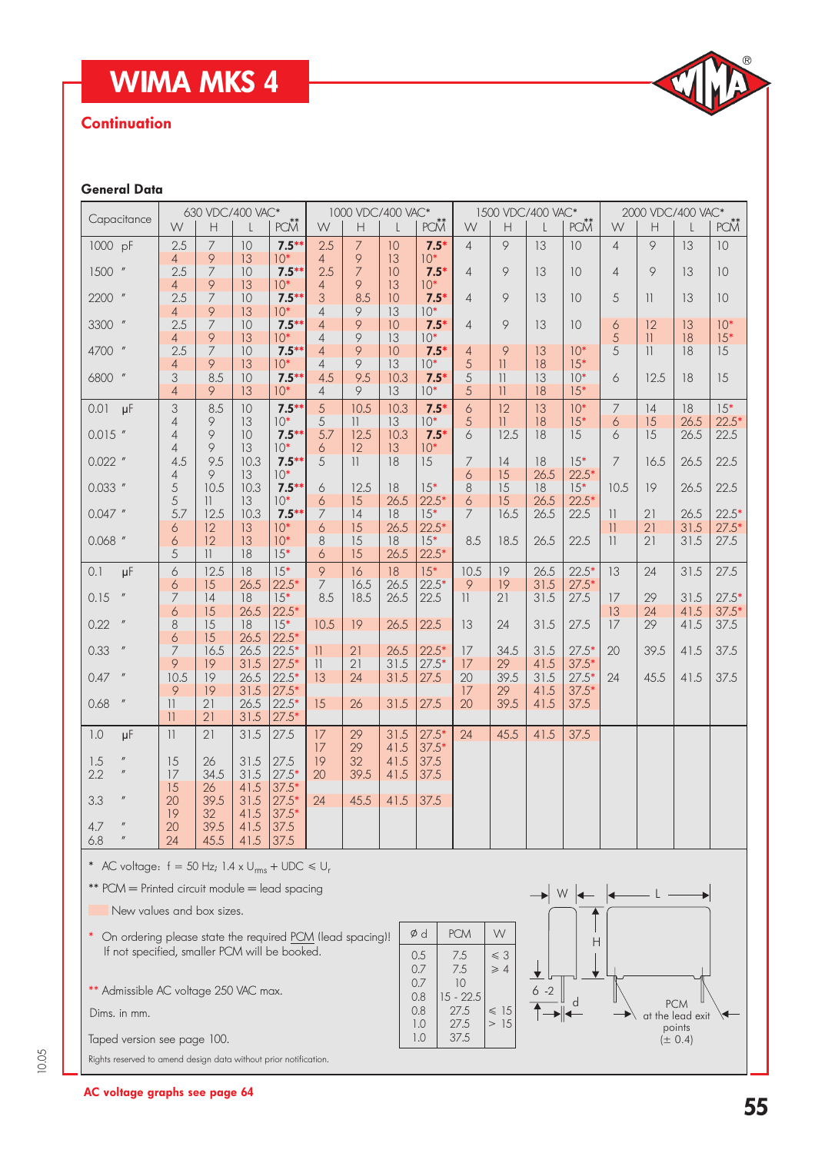## WIMA MKS 4

### **Continuation**

# D

### General Data

| Capacitance                                                                                                                                                                                                                                                                                                                                                                                                                                                             | 630 VDC/400 VAC*                   |                                     |                      | 1000 VDC/400 VAC*             |                    |                       | 1500 VDC/400 VAC*  |                             |                   |                                          |              | 2000 VDC/400 VAC*  |                       |                          |                            |                  |
|-------------------------------------------------------------------------------------------------------------------------------------------------------------------------------------------------------------------------------------------------------------------------------------------------------------------------------------------------------------------------------------------------------------------------------------------------------------------------|------------------------------------|-------------------------------------|----------------------|-------------------------------|--------------------|-----------------------|--------------------|-----------------------------|-------------------|------------------------------------------|--------------|--------------------|-----------------------|--------------------------|----------------------------|------------------|
|                                                                                                                                                                                                                                                                                                                                                                                                                                                                         | W                                  | Н                                   |                      | PCM <sup>**</sup>             | W                  | $\mathsf{H}$          |                    | PCM                         | W                 | H                                        |              | PCM                | W                     | Н                        |                            | PCM              |
| 1000 pF                                                                                                                                                                                                                                                                                                                                                                                                                                                                 | 2.5                                | 7<br>9                              | 10<br>13             | $7.5***$<br>$10*$             | 2.5                | 7<br>9                | 10<br>13           | $7.5*$<br>$10*$             | $\overline{4}$    | 9                                        | 13           | 10                 | $\overline{4}$        | 9                        | 13                         | 10               |
| 1500<br>$\boldsymbol{\mathit{II}}$                                                                                                                                                                                                                                                                                                                                                                                                                                      | 4<br>2.5<br>4                      | 7<br>9                              | 10<br>13             | $7.5***$<br>$10*$             | 4<br>2.5<br>4      | 7<br>9                | 10<br>13           | $7.5*$<br>$10*$             | $\overline{4}$    | 9                                        | 13           | 10                 | $\overline{4}$        | 9                        | 13                         | 10               |
| 2200 "                                                                                                                                                                                                                                                                                                                                                                                                                                                                  | 2.5<br>4                           | 7<br>9                              | 10<br>13             | $7.5***$<br>$10*$             | 3<br>4             | 8.5<br>9              | 10<br>13           | $7.5*$<br>$10*$             | $\overline{4}$    | 9                                        | 13           | 10                 | 5                     | $\mathcal{V}$            | 13                         | 10               |
| $\boldsymbol{n}$<br>3300                                                                                                                                                                                                                                                                                                                                                                                                                                                | 2.5<br>4                           | 7<br>9                              | 10<br>13             | $7.5***$<br>$10*$             | 4<br>4             | 9<br>9                | 10<br>13           | $7.5*$<br>$10*$             | 4                 | 9                                        | 13           | 10                 | 6<br>5                | 12<br>11                 | 13<br>18                   | $10*$<br>$15*$   |
| 4700 "                                                                                                                                                                                                                                                                                                                                                                                                                                                                  | 2.5<br>4                           | 7<br>9                              | 10<br>13             | $7.5***$<br>$10*$             | 4<br>4             | 9<br>9                | 10<br>13           | $7.5*$<br>$10*$             | 4<br>5            | 9<br>$\mathbf{1}$                        | 13<br>18     | $10*$<br>$15*$     | $\overline{5}$        | $\overline{\phantom{a}}$ | 18                         | 15               |
| 6800 "                                                                                                                                                                                                                                                                                                                                                                                                                                                                  | 3<br>4                             | 8.5<br>9                            | 10<br>13             | $7.5***$<br>$10*$             | 4.5<br>4           | 9.5<br>9              | 10.3<br>13         | $7.5*$<br>$10*$             | 5<br>5            | $\mathcal{V}$<br>$\overline{\mathbf{1}}$ | 13<br>18     | $10*$<br>$15*$     | 6                     | 12.5                     | 18                         | 15               |
| $\mu$ F<br>0.01                                                                                                                                                                                                                                                                                                                                                                                                                                                         | 3<br>4                             | 8.5<br>9                            | 10<br>13             | $7.5***$<br>$10*$             | 5<br>5             | 10.5<br>$\mathcal{H}$ | 10.3<br>13         | $7.5*$<br>$10*$             | 6<br>5            | 12<br>11                                 | 13<br>18     | $10*$<br>$15*$     | 7<br>6                | 4<br>15                  | 18<br>26.5                 | $15*$<br>$22.5*$ |
| $0.015$ "                                                                                                                                                                                                                                                                                                                                                                                                                                                               | 4<br>4                             | 9<br>9                              | 10<br>13             | $7.5***$<br>$10*$             | 5.7<br>6           | 12.5<br>12            | 10.3<br>13         | $7.5*$<br>$10*$             | 6                 | 12.5                                     | 18           | 15                 | 6                     | 15                       | 26.5                       | 22.5             |
| $0.022$ "                                                                                                                                                                                                                                                                                                                                                                                                                                                               | 4.5<br>4                           | 9.5<br>9                            | 10.3<br>13           | $7.5***$<br>$10*$             | 5                  | 11                    | 18                 | 15                          | 7<br>6            | 14<br>15                                 | 18<br>26.5   | $15*$<br>$22.5*$   | 7                     | 16.5                     | 26.5                       | 22.5             |
| $0.033$ "                                                                                                                                                                                                                                                                                                                                                                                                                                                               | 5                                  | 10.5                                | 10.3                 | $7.5***$                      | 6                  | 12.5                  | 18                 | $15*$                       | 8                 | 15                                       | 18           | $15*$              | 10.5                  | 19                       | 26.5                       | 22.5             |
| $0.047$ "                                                                                                                                                                                                                                                                                                                                                                                                                                                               | 5<br>5.7                           | $\overline{11}$<br>12.5             | 13<br>10.3           | $10*$<br>$7.5***$             | 6<br>7             | 15<br>14              | 26.5<br>18         | $22.5*$<br>$15*$            | 6<br>7            | 15<br>16.5                               | 26.5<br>26.5 | $22.5*$<br>22.5    | 11                    | 21                       | 26.5                       | $22.5*$          |
| $0.068$ "                                                                                                                                                                                                                                                                                                                                                                                                                                                               | 6<br>6<br>5                        | 12<br>12<br>$\overline{\mathbf{1}}$ | 13<br>13<br>18       | $10*$<br>$10*$<br>$15*$       | 6<br>8<br>6        | 15<br>15<br>15        | 26.5<br>18<br>26.5 | $22.5*$<br>$15*$<br>$22.5*$ | 8.5               | 18.5                                     | 26.5         | 22.5               | $\overline{11}$<br>11 | 21<br>21                 | 31.5<br>31.5               | $27.5*$<br>27.5  |
| $\mu$ F<br>0.1                                                                                                                                                                                                                                                                                                                                                                                                                                                          | 6                                  | 12.5                                | 18                   | $15*$                         | 9                  | 16                    | 18                 | $15*$                       | 10.5              | 19                                       | 26.5         | $22.5*$            | 13                    | 24                       | 31.5                       | 27.5             |
| $\boldsymbol{\mathit{II}}$<br>0.15                                                                                                                                                                                                                                                                                                                                                                                                                                      | 6<br>7                             | 15<br> 4                            | 26.5<br>18           | $22.5*$<br>$15*$              | 7<br>8.5           | 16.5<br>18.5          | 26.5<br>26.5       | $22.5*$<br>22.5             | 9<br>11           | 19<br>21                                 | 31.5<br>31.5 | $27.5*$<br>27.5    | 17                    | 29                       | 31.5                       | $27.5*$          |
| $\boldsymbol{n}$<br>0.22                                                                                                                                                                                                                                                                                                                                                                                                                                                | 6<br>8                             | 15<br>15                            | 26.5<br>18           | $22.5*$<br>$15*$              | 10.5               | 19                    | 26.5               | 22.5                        | 13                | 24                                       | 31.5         | 27.5               | 13<br>17              | 24<br>29                 | 41.5<br>41.5               | $37.5*$<br>37.5  |
| $\boldsymbol{\mathit{II}}$<br>0.33                                                                                                                                                                                                                                                                                                                                                                                                                                      | 6<br>7                             | 15<br>16.5                          | 26.5<br>26.5         | $22.5*$<br>$22.5*$            | 11                 | 21                    | 26.5               | $22.5*$                     | 17                | 34.5                                     | 31.5         | $27.5*$            | 20                    | 39.5                     | 41.5                       | 37.5             |
| $\prime\prime$<br>0.47                                                                                                                                                                                                                                                                                                                                                                                                                                                  | 9<br>10.5                          | 19<br>19                            | 31.5<br>26.5         | $27.5*$<br>$22.5*$            | $\mathbf{1}$<br>13 | 21<br>24              | 31.5<br>31.5       | $27.5*$<br>27.5             | 17<br>20          | 29<br>39.5                               | 41.5<br>31.5 | $37.5*$<br>$27.5*$ | 24                    | 45.5                     | 41.5                       | 37.5             |
| $\boldsymbol{\mathit{II}}%{\mathit{II}}%{\mathit{II}}%{\mathit{II}}%{\mathit{II}}%{\mathit{II}}%{\mathit{II}}%{\mathit{II}}%{\mathit{II}}%{\mathit{II}}%{\mathit{II}}%{\mathit{II}}%{\mathit{II}}%{\mathit{II}}%{\mathit{II}}%{\mathit{II}}%{\mathit{II}}%{\mathit{II}}%{\mathit{II}}%{\mathit{II}}%{\mathit{II}}%{\mathit{II}}%{\mathit{II}}%{\mathit{II}}%{\mathit{II}}%{\mathit{II}}%{\mathit{II}}%{\mathit{II}}%{\mathit{II}}%{\mathit{II}}%{\mathit{II}}%$<br>0.68 | 9<br>$\left  {}\right $<br>$\vert$ | 19<br>21<br>21                      | 31.5<br>26.5<br>31.5 | $27.5*$<br>$22.5*$<br>$27.5*$ | 15                 | 26                    | 31.5               | 27.5                        | 17<br>20          | 29<br>39.5                               | 41.5<br>41.5 | $37.5*$<br>37.5    |                       |                          |                            |                  |
| 1.0<br>μF                                                                                                                                                                                                                                                                                                                                                                                                                                                               | 11                                 | 21                                  | 31.5                 | 27.5                          | 17<br>17           | 29<br>29              | 31.5<br>41.5       | $27.5*$<br>$37.5*$          | 24                | 45.5                                     | 41.5         | 37.5               |                       |                          |                            |                  |
| $\boldsymbol{\mathit{II}}$<br>1.5<br>$\boldsymbol{\mathit{II}}$<br>2.2                                                                                                                                                                                                                                                                                                                                                                                                  | 15<br>17                           | 26<br>34.5                          | 31.5<br>31.5         | 27.5<br>$27.5*$               | 19<br>20           | 32<br>39.5            | 41.5<br>41.5       | 37.5<br>37.5                |                   |                                          |              |                    |                       |                          |                            |                  |
| $\boldsymbol{\mathit{II}}$<br>3.3                                                                                                                                                                                                                                                                                                                                                                                                                                       | 15<br>20                           | 26<br>39.5                          | 41.5<br>31.5         | $37.5*$<br>$27.5*$            | 24                 | 45.5                  | 41.5               | 37.5                        |                   |                                          |              |                    |                       |                          |                            |                  |
| 4.7<br>6.8                                                                                                                                                                                                                                                                                                                                                                                                                                                              | 19<br>20<br>24                     | 32 <sup>°</sup><br>39.5<br>45.5     | 41.5<br>41.5<br>41.5 | $37.5*$<br>37.5<br>37.5       |                    |                       |                    |                             |                   |                                          |              |                    |                       |                          |                            |                  |
| * AC voltage: $f = 50$ Hz; 1.4 x U <sub>rms</sub> + UDC $\leq U_r$                                                                                                                                                                                                                                                                                                                                                                                                      |                                    |                                     |                      |                               |                    |                       |                    |                             |                   |                                          |              |                    |                       |                          |                            |                  |
| ** PCM = Printed circuit module = lead spacing                                                                                                                                                                                                                                                                                                                                                                                                                          |                                    |                                     |                      |                               |                    |                       |                    |                             |                   |                                          |              | W                  |                       |                          |                            |                  |
| New values and box sizes.                                                                                                                                                                                                                                                                                                                                                                                                                                               |                                    |                                     |                      |                               |                    |                       |                    |                             |                   |                                          |              |                    |                       |                          |                            |                  |
| * On ordering please state the required PCM (lead spacing)!                                                                                                                                                                                                                                                                                                                                                                                                             |                                    |                                     |                      |                               |                    |                       |                    | Ød                          | <b>PCM</b>        | W                                        |              | Н                  |                       |                          |                            |                  |
| If not specified, smaller PCM will be booked.                                                                                                                                                                                                                                                                                                                                                                                                                           |                                    |                                     |                      |                               |                    |                       |                    | 0.5<br>0.7                  | 7.5<br>7.5        | $\leq 3$<br>$\geqslant 4$                |              |                    |                       |                          |                            |                  |
| ** Admissible AC voltage 250 VAC max.                                                                                                                                                                                                                                                                                                                                                                                                                                   |                                    |                                     |                      |                               |                    |                       |                    | 0.7<br>0.8                  | 10<br>$15 - 22.5$ |                                          | $-2$<br>6    | d                  |                       |                          | <b>PCM</b>                 |                  |
| Dims. in mm.                                                                                                                                                                                                                                                                                                                                                                                                                                                            |                                    |                                     |                      |                               |                    |                       |                    | 0.8<br>1.0                  | 27.5<br>27.5      | $\leqslant$ 15<br>> 15                   |              |                    |                       |                          | at the lead exit<br>points |                  |
| Taped version see page 100.                                                                                                                                                                                                                                                                                                                                                                                                                                             |                                    |                                     |                      |                               |                    |                       |                    | 1.0                         | 37.5              |                                          |              |                    |                       |                          | $(\pm 0.4)$                |                  |
| Rights reserved to amend design data without prior notification.                                                                                                                                                                                                                                                                                                                                                                                                        |                                    |                                     |                      |                               |                    |                       |                    |                             |                   |                                          |              |                    |                       |                          |                            |                  |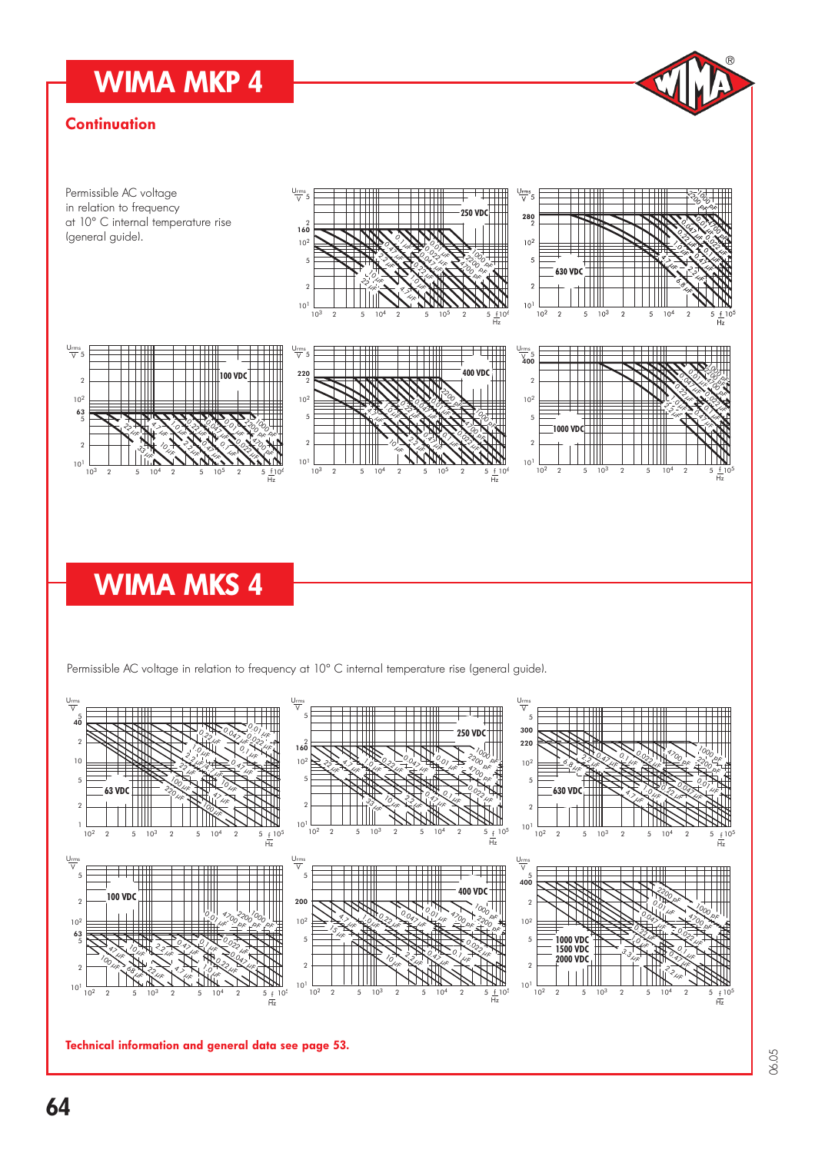### WIMA MKP 4

### **Continuation**



Permissible AC voltage in relation to frequency at 10° C internal temperature rise (general guide).



Technical information and general data see page 53.

D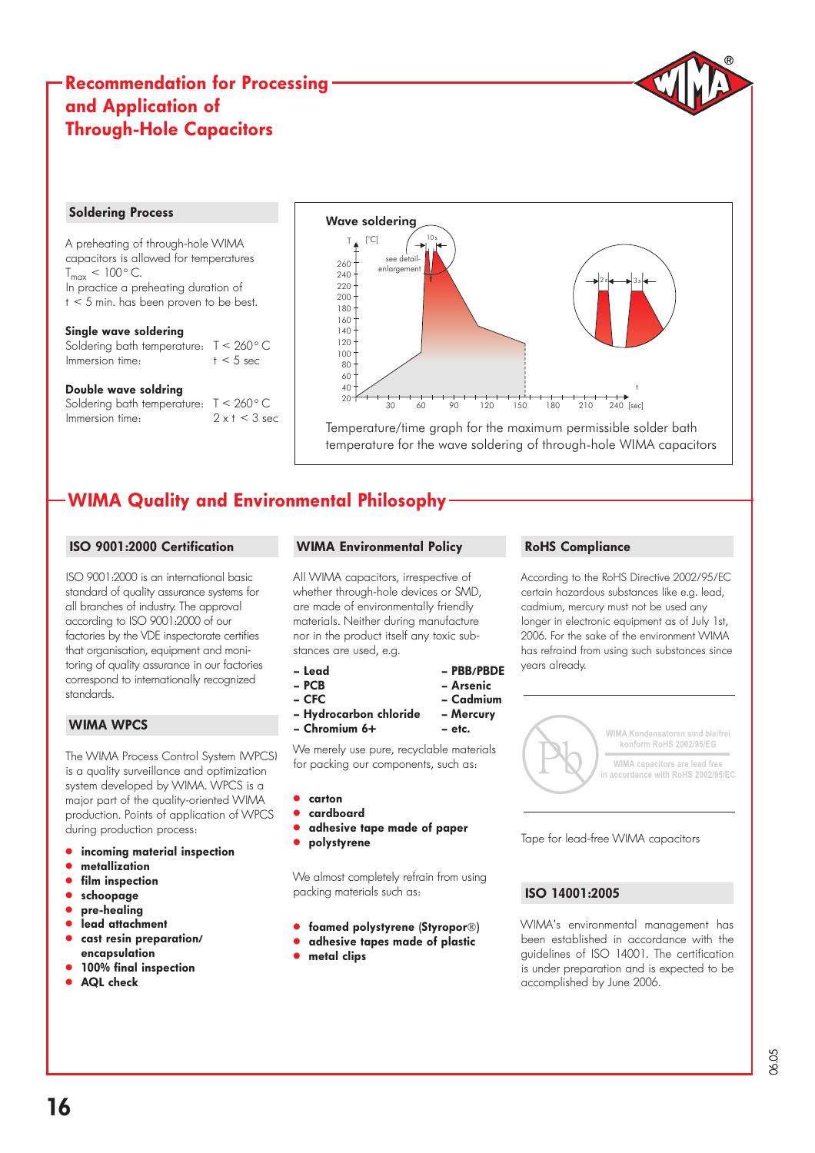### Recommendation for Processing and Application of Through-Hole Capacitors



A preheating of through-hole WIMA capacitors is allowed for temperatures  $T_{max}$  < 100 $^{\circ}$  C. In practice a preheating duration of t < 5 min. has been proven to be best.

### Single wave soldering

Soldering bath temperature: T < 260°C Immersion time:  $t < 5$  sec

### Double wave soldring

Soldering bath temperature: T < 260°C Immersion time:  $2 \times t < 3$  sec



Temperature/time graph for the maximum permissible solder bath temperature for the wave soldering of through-hole WIMA capacitors

### WIMA Quality and Environmental Philosophy

### ISO 9001:2000 Certification

ISO 9001:2000 is an international basic standard of quality assurance systems for all branches of industry. The approval according to ISO 9001:2000 of our factories by the VDE inspectorate certifies that organisation, equipment and monitoring of quality assurance in our factories correspond to internationally recognized standards.

### WIMA WPCS

The WIMA Process Control System (WPCS) is a quality surveillance and optimization system developed by WIMA. WPCS is a major part of the quality-oriented WIMA production. Points of application of WPCS during production process:

- incoming material inspection
- metallization
- film inspection
- schoopage
- pre-healing
- lead attachment
- cast resin preparation/ encapsulation
- 100% final inspection
- AQL check

### WIMA Environmental Policy

All WIMA capacitors, irrespective of whether through-hole devices or SMD, are made of environmentally friendly materials. Neither during manufacture nor in the product itself any toxic substances are used, e.g.

– Lead – PBB/PBDE

- 
- CFC Cadmium
- Hydrocarbon chloride Mercury
- Chromium 6+ etc.

We merely use pure, recyclable materials for packing our components, such as:

– Arsenic

- " carton
- " cardboard
- adhesive tape made of paper
- polystyrene

We almost completely refrain from using packing materials such as:

- **.** foamed polystyrene (Styropor®)
- **.** adhesive tapes made of plastic
- $\bullet$  metal clips

### RoHS Compliance

According to the RoHS Directive 2002/95/EC certain hazardous substances like e.g. lead, cadmium, mercury must not be used any longer in electronic equipment as of July 1st, 2006. For the sake of the environment WIMA has refraind from using such substances since years already.



Tape for lead-free WIMA capacitors

### ISO 14001:2005

WIMA's environmental management has been established in accordance with the guidelines of ISO 14001. The certification is under preparation and is expected to be accomplished by June 2006.